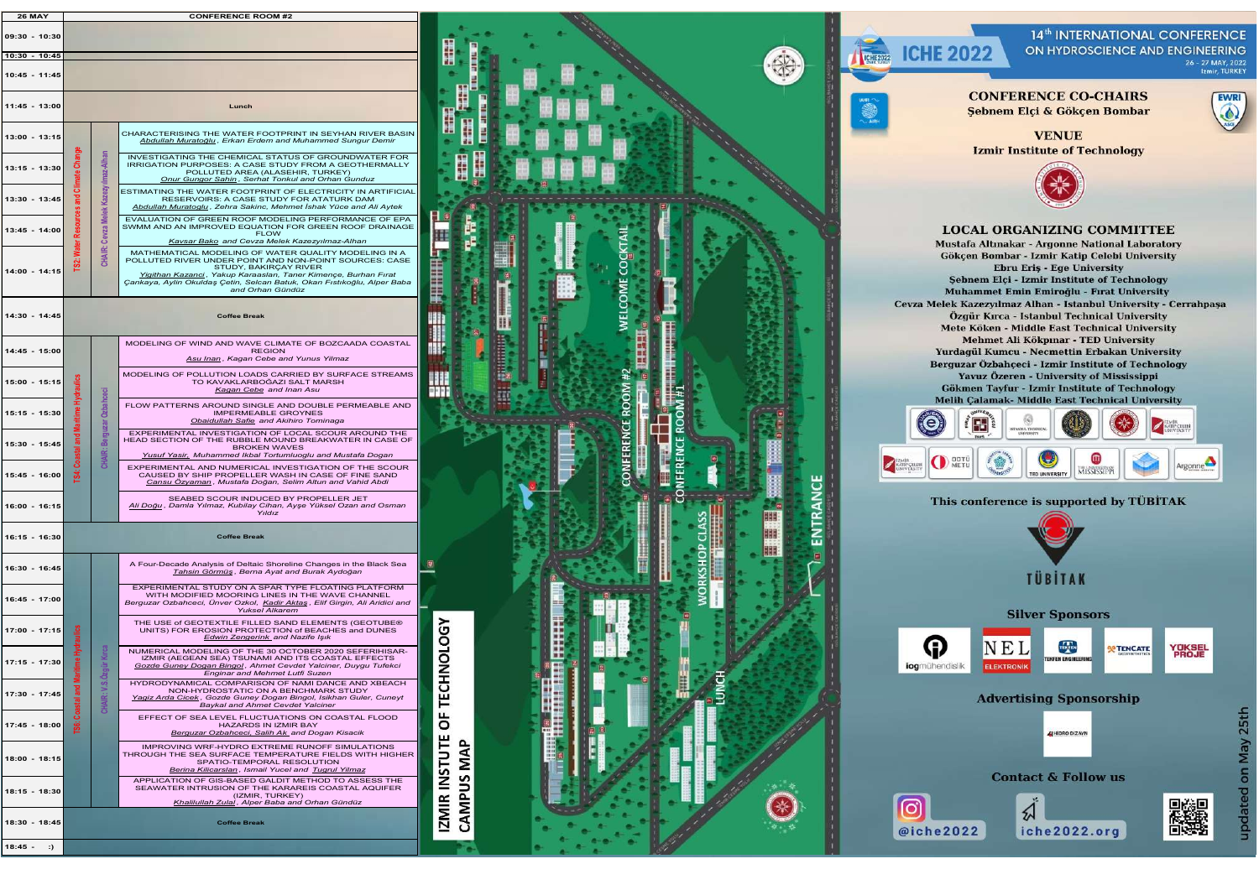| <b>26 MAY</b>                    |                |                               | <b>CONFERENCE ROOM #2</b>                                                                                                                                                                                                                                                                                |                               |                  |
|----------------------------------|----------------|-------------------------------|----------------------------------------------------------------------------------------------------------------------------------------------------------------------------------------------------------------------------------------------------------------------------------------------------------|-------------------------------|------------------|
| $09:30 - 10:30$                  |                |                               |                                                                                                                                                                                                                                                                                                          |                               |                  |
| $10:30 - 10:45$                  |                |                               |                                                                                                                                                                                                                                                                                                          |                               |                  |
| 10:45 - 11:45<br>$11:45 - 13:00$ |                |                               | Lunch                                                                                                                                                                                                                                                                                                    |                               |                  |
| $13:00 - 13:15$                  |                |                               | CHARACTERISING THE WATER FOOTPRINT IN SEYHAN RIVER BASIN                                                                                                                                                                                                                                                 |                               |                  |
| $13:15 - 13:30$                  | Change         |                               | Abdullah Muratoğlu, Erkan Erdem and Muhammed Sungur Demir<br>INVESTIGATING THE CHEMICAL STATUS OF GROUNDWATER FOR<br>IRRIGATION PURPOSES: A CASE STUDY FROM A GEOTHERMALLY<br>POLLUTED AREA (ALASEHIR, TURKEY)                                                                                           |                               |                  |
| 13:30 - 13:45                    | Climate<br>and | Kazezyılmaz-Alhan<br>≚        | <b>Onur Gungor Sahin, Serhat Tonkul and Orhan Gunduz</b><br>ESTIMATING THE WATER FOOTPRINT OF ELECTRICITY IN ARTIFICIAL<br>RESERVOIRS: A CASE STUDY FOR ATATURK DAM<br>Abdullah Muratoglu, Zehra Sakinc, Mehmet İshak Yüce and Ali Aytek                                                                 |                               |                  |
| $13:45 - 14:00$                  |                | ≝<br>Cevza I                  | EVALUATION OF GREEN ROOF MODELING PERFORMANCE OF EPA<br>SWMM AND AN IMPROVED EQUATION FOR GREEN ROOF DRAINAGE<br><b>FLOW</b><br>Kavsar Bako and Cevza Melek Kazezyılmaz-Alhan                                                                                                                            |                               |                  |
| $14:00 - 14:15$                  | အိ             | CHAIR:                        | MATHEMATICAL MODELING OF WATER QUALITY MODELING IN A<br>POLLUTED RIVER UNDER POINT AND NON-POINT SOURCES: CASE<br>STUDY, BAKIRCAY RIVER<br>Yigithan Kazanci, Yakup Karaaslan, Taner Kimençe, Burhan Fırat<br>Çankaya, Aylin Okuldaş Çetin, Selcan Batuk, Okan Fıstıkoğlu, Alper Baba<br>and Orhan Gündüz |                               |                  |
| 14:30 - 14:45                    |                |                               | <b>Coffee Break</b>                                                                                                                                                                                                                                                                                      |                               |                  |
| $14:45 - 15:00$                  |                |                               | MODELING OF WIND AND WAVE CLIMATE OF BOZCAADA COASTAL<br><b>REGION</b><br>Asu Inan, Kagan Cebe and Yunus Yilmaz                                                                                                                                                                                          |                               |                  |
| $15:00 - 15:15$                  | Hydrauli       |                               | MODELING OF POLLUTION LOADS CARRIED BY SURFACE STREAMS<br>TO KAVAKLARBOĞAZI SALT MARSH<br>Kagan Cebe and Inan Asu                                                                                                                                                                                        |                               |                  |
| $15:15 - 15:30$                  |                | Ozbahceci                     | FLOW PATTERNS AROUND SINGLE AND DOUBLE PERMEABLE AND<br><b>IMPERMEABLE GROYNES</b><br>Obaidullah Safie and Akihiro Tominaga                                                                                                                                                                              |                               | <b>ROO</b>       |
| 15:30 - 15:45                    | 둖<br>쿈<br>ဒ္ပိ | Berguzar (<br>CHAIR:          | EXPERIMENTAL INVESTIGATION OF LOCAL SCOUR AROUND THE<br>HEAD SECTION OF THE RUBBLE MOUND BREAKWATER IN CASE OF<br><b>BROKEN WAVES</b><br><b>Yusuf Yasir, Muhammed Ikbal Tortumluoglu and Mustafa Dogan</b>                                                                                               |                               | FERENCE          |
| $15:45 - 16:00$                  | ä,             |                               | EXPERIMENTAL AND NUMERICAL INVESTIGATION OF THE SCOUR<br>CAUSED BY SHIP PROPELLER WASH IN CASE OF FINE SAND<br>Cansu Özvaman, Mustafa Doğan, Selim Altun and Vahid Abdi                                                                                                                                  |                               |                  |
| $16:00 - 16:15$                  |                |                               | SEABED SCOUR INDUCED BY PROPELLER JET<br>Ali Doğu, Damla Yılmaz, Kubilay Cihan, Ayşe Yüksel Ozan and Osman<br>Yıldız                                                                                                                                                                                     |                               |                  |
| $16:15 - 16:30$                  |                |                               | <b>Coffee Break</b>                                                                                                                                                                                                                                                                                      |                               |                  |
| 16:30 - 16:45                    |                |                               | A Four-Decade Analysis of Deltaic Shoreline Changes in the Black Sea<br>Tahsin Görmüş, Berna Ayat and Burak Aydoğan                                                                                                                                                                                      |                               |                  |
| $16:45 - 17:00$                  |                |                               | EXPERIMENTAL STUDY ON A SPAR TYPE FLOATING PLATFORM<br>WITH MODIFIED MOORING LINES IN THE WAVE CHANNEL<br>Berguzar Ozbahceci, Ünver Ozkol, Kadir Aktaş, Elif Girgin, Ali Aridici and<br><b>Yuksel Alkarem</b>                                                                                            |                               |                  |
| $17:00 - 17:15$                  | ≝              |                               | THE USE of GEOTEXTILE FILLED SAND ELEMENTS (GEOTUBE®<br>UNITS) FOR EROSION PROTECTION of BEACHES and DUNES<br><b>Edwin Zengerink</b> and Nazife Işık                                                                                                                                                     |                               |                  |
| 17:15 - 17:30                    |                | <b>K</b> irca<br><b>Ozgür</b> | NUMERICAL MODELING OF THE 30 OCTOBER 2020 SEFERIHISAR-<br>IZMIR (AEGEAN SEA) TSUNAMI AND ITS COASTAL EFFECTS<br>Gozde Guney Dogan Bingol, Ahmet Cevdet Yalciner, Duygu Tufekci<br><b>Enginar and Mehmet Lutfi Suzen</b>                                                                                  | <b>CHNOLOGY</b>               |                  |
| 17:30 - 17:45                    | Coastal ar     | တ်<br>CHAIR:                  | HYDRODYNAMICAL COMPARISON OF NAMI DANCE AND XBEACH<br>NON-HYDROSTATIC ON A BENCHMARK STUDY<br>Yaqiz Arda Cicek, Gozde Guney Dogan Bingol, Isikhan Guler, Cuneyt<br>Baykal and Ahmet Cevdet Yalciner                                                                                                      | Ě                             |                  |
| $17:45 - 18:00$                  | <b>i</b> 88    |                               | EFFECT OF SEA LEVEL FLUCTUATIONS ON COASTAL FLOOD<br>HAZARDS IN IZMIR BAY<br>Berguzar Ozbahceci, Salih Ak and Dogan Kisacik                                                                                                                                                                              | p                             | 831              |
| $18:00 - 18:15$                  |                |                               | IMPROVING WRF-HYDRO EXTREME RUNOFF SIMULATIONS<br>THROUGH THE SEA SURFACE TEMPERATURE FIELDS WITH HIGHER<br>SPATIO-TEMPORAL RESOLUTION<br>Berina Kilicarslan, Ismail Yucel and Tugrul Yilmaz                                                                                                             | MAP                           | 味味<br>30 公<br>護具 |
| $18:15 - 18:30$                  |                |                               | APPLICATION OF GIS-BASED GALDIT METHOD TO ASSESS THE<br>SEAWATER INTRUSION OF THE KARAREIS COASTAL AQUIFER<br>(IZMIR, TURKEY)<br>Khalilullah Zulal, Alper Baba and Orhan Gündüz                                                                                                                          | <b>IZMIR INSTUTE</b><br>AMPUS |                  |
| 18:30 - 18:45                    |                |                               | <b>Coffee Break</b>                                                                                                                                                                                                                                                                                      |                               |                  |
| $18:45 -$<br>:                   |                |                               |                                                                                                                                                                                                                                                                                                          |                               |                  |
|                                  |                |                               |                                                                                                                                                                                                                                                                                                          |                               |                  |
|                                  |                |                               |                                                                                                                                                                                                                                                                                                          |                               |                  |